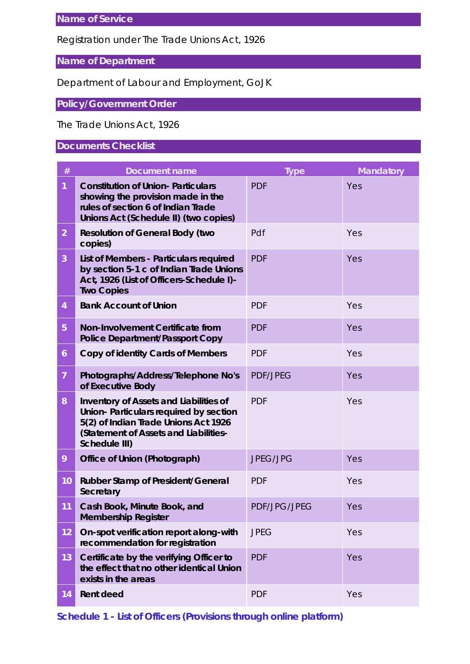#### Registration under The Trade Unions Act, 1926

# **Name of Department**

### Department of Labour and Employment, GoJK

## **Policy/Government Order**

#### The Trade Unions Act, 1926

## **Documents Checklist**

| $\#$           | Document name                                                                                                                                                                      | <b>Type</b>         | Mandatory |
|----------------|------------------------------------------------------------------------------------------------------------------------------------------------------------------------------------|---------------------|-----------|
|                | <b>Constitution of Union-Particulars</b><br>showing the provision made in the<br>rules of section 6 of Indian Trade<br>Unions Act (Schedule II) (two copies)                       | <b>PDF</b>          | Yes       |
| $\overline{2}$ | Resolution of General Body (two<br>copies)                                                                                                                                         | Pdf                 | Yes       |
| 3              | List of Members - Particulars required<br>by section 5-1 c of Indian Trade Unions<br>Act, 1926 (List of Officers-Schedule I)-<br><b>Two Copies</b>                                 | <b>PDF</b>          | Yes       |
| $\overline{4}$ | <b>Bank Account of Union</b>                                                                                                                                                       | <b>PDF</b>          | Yes       |
| 5              | Non-Involvement Certificate from<br>Police Department/Passport Copy                                                                                                                | <b>PDF</b>          | Yes       |
| 6              | Copy of identity Cards of Members                                                                                                                                                  | <b>PDF</b>          | Yes       |
| $\overline{7}$ | Photographs/Address/Telephone No's<br>of Executive Body                                                                                                                            | <b>PDF/JPEG</b>     | Yes       |
| 8              | Inventory of Assets and Liabilities of<br>Union- Particulars required by section<br>5(2) of Indian Trade Unions Act 1926<br>(Statement of Assets and Liabilities-<br>Schedule III) | <b>PDF</b>          | Yes       |
| 9              | Office of Union (Photograph)                                                                                                                                                       | <b>JPEG/JPG</b>     | Yes       |
| 10             | Rubber Stamp of President/General<br>Secretary                                                                                                                                     | <b>PDF</b>          | Yes       |
| 11             | Cash Book, Minute Book, and<br><b>Membership Register</b>                                                                                                                          | <b>PDF/JPG/JPEG</b> | Yes       |
| 12             | On-spot verification report along-with<br>recommendation for registration                                                                                                          | <b>JPEG</b>         | Yes       |
| 13             | Certificate by the verifying Officer to<br>the effect that no other identical Union<br>exists in the areas                                                                         | <b>PDF</b>          | Yes       |
| 14             | Rent deed                                                                                                                                                                          | <b>PDF</b>          | Yes       |

**Schedule 1 - List of Officers (Provisions through online platform)**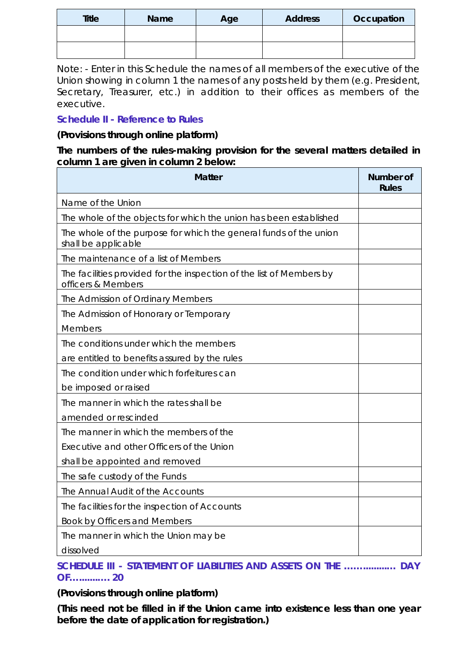| <b>Title</b> | <b>Name</b> | Age | Address | Occupation |
|--------------|-------------|-----|---------|------------|
|              |             |     |         |            |
|              |             |     |         |            |

*Note: - Enter in this Schedule the names of all members of the executive of the Union showing in column 1 the names of any posts held by them (e.g. President, Secretary, Treasurer, etc.) in addition to their offices as members of the executive.*

**Schedule II - Reference to Rules**

**(Provisions through online platform)**

**The numbers of the rules-making provision for the several matters detailed in column 1 are given in column 2 below:**

| Matter                                                                                     | Number of<br><b>Rules</b> |
|--------------------------------------------------------------------------------------------|---------------------------|
| Name of the Union                                                                          |                           |
| The whole of the objects for which the union has been established                          |                           |
| The whole of the purpose for which the general funds of the union<br>shall be applicable   |                           |
| The maintenance of a list of Members                                                       |                           |
| The facilities provided for the inspection of the list of Members by<br>officers & Members |                           |
| The Admission of Ordinary Members                                                          |                           |
| The Admission of Honorary or Temporary                                                     |                           |
| Members                                                                                    |                           |
| The conditions under which the members                                                     |                           |
| are entitled to benefits assured by the rules                                              |                           |
| The condition under which forfeitures can                                                  |                           |
| be imposed or raised                                                                       |                           |
| The manner in which the rates shall be                                                     |                           |
| amended or rescinded                                                                       |                           |
| The manner in which the members of the                                                     |                           |
| Executive and other Officers of the Union                                                  |                           |
| shall be appointed and removed                                                             |                           |
| The safe custody of the Funds                                                              |                           |
| The Annual Audit of the Accounts                                                           |                           |
| The facilities for the inspection of Accounts                                              |                           |
| Book by Officers and Members                                                               |                           |
| The manner in which the Union may be                                                       |                           |
| dissolved                                                                                  |                           |

**SCHEDULE III - STATEMENT OF LIABILITIES AND ASSETS ON THE …….........… DAY OF….......…. 20**

**(Provisions through online platform)**

**(This need not be filled in if the Union came into existence less than one year before the date of application for registration.)**